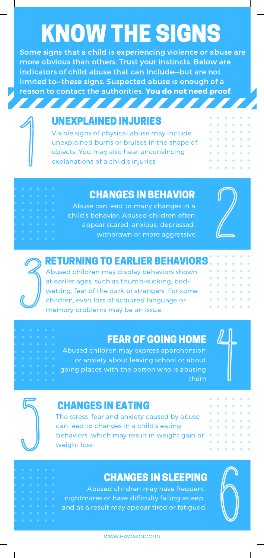# KNOW THE SIGNS

Some signs that a child is experiencing violence or abuse are more obvious than others. Trust your instincts. Below are indicators of child abuse that can include—but are not limited to—these signs. Suspected abuse is enough of a reason to contact the authorities. You do not need proof.



,,,,,,,,,,,,

Visible signs of physical abuse may include unexplained burns or bruises in the shape of objects. You may also hear unconvincing explanations of a child's injuries.

## CHANGES IN BEHAVIOR

Abuse can lead to many changes in a child's behavior. Abused children often appear scared, anxious, depressed, withdrawn or more aggressive.



ö  $\ddot{\phantom{a}}$ ö ö

 $\alpha$  $\alpha$ **A**  $\Delta$  $\alpha$ ö

> $\alpha$  $\Delta$  $\alpha$  $\bullet$

ö

## RETURNING TO EARLIER BEHAVIORS

Abused children may display behaviors shown at earlier ages, such as thumb-sucking, bed wetting, fear of the dark or strangers. For some children, even loss of acquired language or memory problems may be an issue.

## FEAR OF GOING HOME

Abused children may express apprehension or anxiety about leaving school or about going places with the person who is abusing them.



ö  $\hat{\mathbf{o}}$ 

ö ö i. ö ö

ö ö

ö ö ö

 $\ddot{\text{o}}$  $\ddot{\phantom{a}}$  $\hat{\mathbf{o}}$ 

 $\ddot{\text{o}}$  $\ddot{\phantom{a}}$  $\ddot{\phantom{1}}$ 

 $\alpha$  $\alpha$  $\alpha$ 

 $\alpha$  $\alpha$  $\alpha$  $\alpha$ 



## CHANGES IN EATING

The stress, fear and anxiety caused by abuse can lead to changes in a child's eating behaviors, which may result in weight gain or weight loss.

## CHANGES IN SLEEPING

Abused children may have frequent nightmares or have difficulty falling asleep, and as a result may appear tired or fatigued.



 $\alpha$  $\ddot{\phantom{a}}$